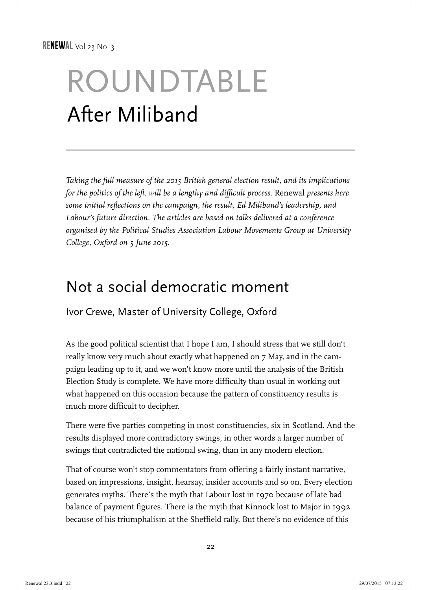# ROUNDTABLE After Miliband

*Taking the full measure of the 2015 British general election result, and its implications for the politics of the left, will be a lengthy and difficult process.* Renewal *presents here some initial reflections on the campaign, the result, Ed Miliband's leadership, and Labour's future direction. The articles are based on talks delivered at a conference organised by the Political Studies Association Labour Movements Group at University College, Oxford on 5 June 2015.*

#### Not a social democratic moment

Ivor Crewe, Master of University College, Oxford

As the good political scientist that I hope I am, I should stress that we still don't really know very much about exactly what happened on 7 May, and in the campaign leading up to it, and we won't know more until the analysis of the British Election Study is complete. We have more difficulty than usual in working out what happened on this occasion because the pattern of constituency results is much more difficult to decipher.

There were five parties competing in most constituencies, six in Scotland. And the results displayed more contradictory swings, in other words a larger number of swings that contradicted the national swing, than in any modern election.

That of course won't stop commentators from offering a fairly instant narrative, based on impressions, insight, hearsay, insider accounts and so on. Every election generates myths. There's the myth that Labour lost in 1970 because of late bad balance of payment figures. There is the myth that Kinnock lost to Major in 1992 because of his triumphalism at the Sheffield rally. But there's no evidence of this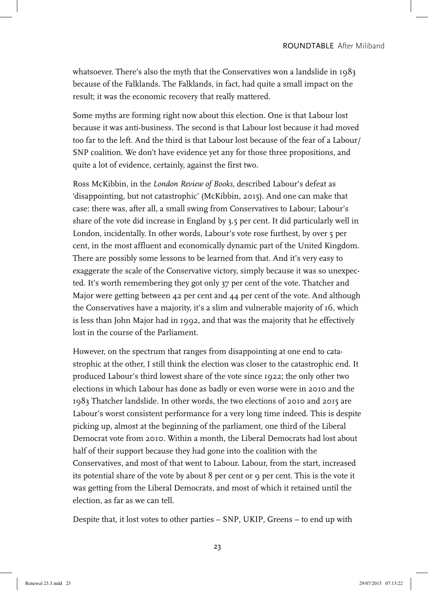whatsoever. There's also the myth that the Conservatives won a landslide in 1983 because of the Falklands. The Falklands, in fact, had quite a small impact on the result; it was the economic recovery that really mattered.

Some myths are forming right now about this election. One is that Labour lost because it was anti-business. The second is that Labour lost because it had moved too far to the left. And the third is that Labour lost because of the fear of a Labour/ SNP coalition. We don't have evidence yet any for those three propositions, and quite a lot of evidence, certainly, against the first two.

Ross McKibbin, in the *London Review of Books*, described Labour's defeat as 'disappointing, but not catastrophic' (McKibbin, 2015). And one can make that case: there was, after all, a small swing from Conservatives to Labour; Labour's share of the vote did increase in England by 3.5 per cent. It did particularly well in London, incidentally. In other words, Labour's vote rose furthest, by over 5 per cent, in the most affluent and economically dynamic part of the United Kingdom. There are possibly some lessons to be learned from that. And it's very easy to exaggerate the scale of the Conservative victory, simply because it was so unexpected. It's worth remembering they got only 37 per cent of the vote. Thatcher and Major were getting between 42 per cent and 44 per cent of the vote. And although the Conservatives have a majority, it's a slim and vulnerable majority of 16, which is less than John Major had in 1992, and that was the majority that he effectively lost in the course of the Parliament.

However, on the spectrum that ranges from disappointing at one end to catastrophic at the other, I still think the election was closer to the catastrophic end. It produced Labour's third lowest share of the vote since 1922; the only other two elections in which Labour has done as badly or even worse were in 2010 and the 1983 Thatcher landslide. In other words, the two elections of 2010 and 2015 are Labour's worst consistent performance for a very long time indeed. This is despite picking up, almost at the beginning of the parliament, one third of the Liberal Democrat vote from 2010. Within a month, the Liberal Democrats had lost about half of their support because they had gone into the coalition with the Conservatives, and most of that went to Labour. Labour, from the start, increased its potential share of the vote by about 8 per cent or 9 per cent. This is the vote it was getting from the Liberal Democrats, and most of which it retained until the election, as far as we can tell.

Despite that, it lost votes to other parties – SNP, UKIP, Greens – to end up with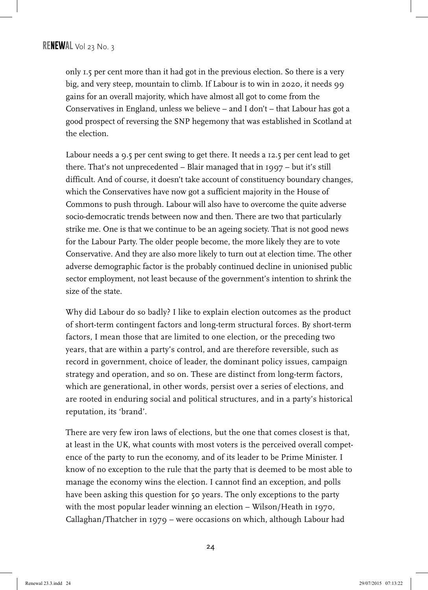only 1.5 per cent more than it had got in the previous election. So there is a very big, and very steep, mountain to climb. If Labour is to win in 2020, it needs 99 gains for an overall majority, which have almost all got to come from the Conservatives in England, unless we believe – and I don't – that Labour has got a good prospect of reversing the SNP hegemony that was established in Scotland at the election.

Labour needs a 9.5 per cent swing to get there. It needs a 12.5 per cent lead to get there. That's not unprecedented – Blair managed that in 1997 – but it's still difficult. And of course, it doesn't take account of constituency boundary changes, which the Conservatives have now got a sufficient majority in the House of Commons to push through. Labour will also have to overcome the quite adverse socio-democratic trends between now and then. There are two that particularly strike me. One is that we continue to be an ageing society. That is not good news for the Labour Party. The older people become, the more likely they are to vote Conservative. And they are also more likely to turn out at election time. The other adverse demographic factor is the probably continued decline in unionised public sector employment, not least because of the government's intention to shrink the size of the state.

Why did Labour do so badly? I like to explain election outcomes as the product of short-term contingent factors and long-term structural forces. By short-term factors, I mean those that are limited to one election, or the preceding two years, that are within a party's control, and are therefore reversible, such as record in government, choice of leader, the dominant policy issues, campaign strategy and operation, and so on. These are distinct from long-term factors, which are generational, in other words, persist over a series of elections, and are rooted in enduring social and political structures, and in a party's historical reputation, its 'brand'.

There are very few iron laws of elections, but the one that comes closest is that, at least in the UK, what counts with most voters is the perceived overall competence of the party to run the economy, and of its leader to be Prime Minister. I know of no exception to the rule that the party that is deemed to be most able to manage the economy wins the election. I cannot find an exception, and polls have been asking this question for 50 years. The only exceptions to the party with the most popular leader winning an election – Wilson/Heath in 1970, Callaghan/Thatcher in 1979 – were occasions on which, although Labour had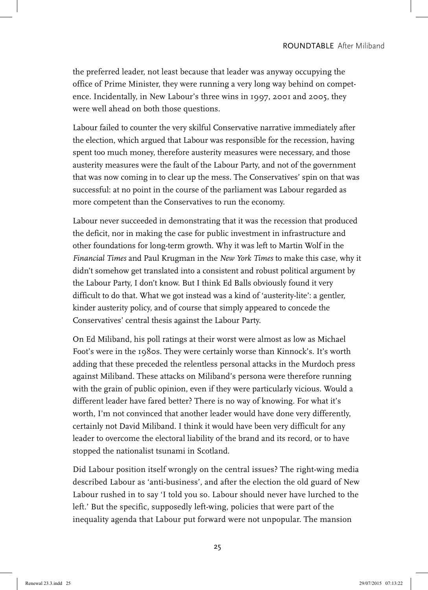the preferred leader, not least because that leader was anyway occupying the office of Prime Minister, they were running a very long way behind on competence. Incidentally, in New Labour's three wins in 1997, 2001 and 2005, they were well ahead on both those questions.

Labour failed to counter the very skilful Conservative narrative immediately after the election, which argued that Labour was responsible for the recession, having spent too much money, therefore austerity measures were necessary, and those austerity measures were the fault of the Labour Party, and not of the government that was now coming in to clear up the mess. The Conservatives' spin on that was successful: at no point in the course of the parliament was Labour regarded as more competent than the Conservatives to run the economy.

Labour never succeeded in demonstrating that it was the recession that produced the deficit, nor in making the case for public investment in infrastructure and other foundations for long-term growth. Why it was left to Martin Wolf in the *Financial Times* and Paul Krugman in the *New York Times* to make this case, why it didn't somehow get translated into a consistent and robust political argument by the Labour Party, I don't know. But I think Ed Balls obviously found it very difficult to do that. What we got instead was a kind of 'austerity-lite': a gentler, kinder austerity policy, and of course that simply appeared to concede the Conservatives' central thesis against the Labour Party.

On Ed Miliband, his poll ratings at their worst were almost as low as Michael Foot's were in the 1980s. They were certainly worse than Kinnock's. It's worth adding that these preceded the relentless personal attacks in the Murdoch press against Miliband. These attacks on Miliband's persona were therefore running with the grain of public opinion, even if they were particularly vicious. Would a different leader have fared better? There is no way of knowing. For what it's worth, I'm not convinced that another leader would have done very differently, certainly not David Miliband. I think it would have been very difficult for any leader to overcome the electoral liability of the brand and its record, or to have stopped the nationalist tsunami in Scotland.

Did Labour position itself wrongly on the central issues? The right-wing media described Labour as 'anti-business', and after the election the old guard of New Labour rushed in to say 'I told you so. Labour should never have lurched to the left.' But the specific, supposedly left-wing, policies that were part of the inequality agenda that Labour put forward were not unpopular. The mansion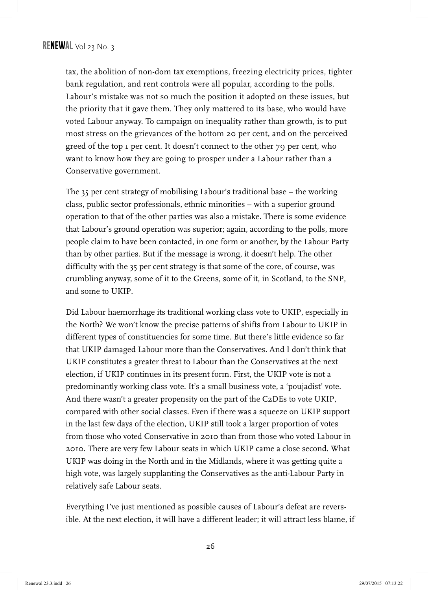tax, the abolition of non-dom tax exemptions, freezing electricity prices, tighter bank regulation, and rent controls were all popular, according to the polls. Labour's mistake was not so much the position it adopted on these issues, but the priority that it gave them. They only mattered to its base, who would have voted Labour anyway. To campaign on inequality rather than growth, is to put most stress on the grievances of the bottom 20 per cent, and on the perceived greed of the top 1 per cent. It doesn't connect to the other 79 per cent, who want to know how they are going to prosper under a Labour rather than a Conservative government.

The 35 per cent strategy of mobilising Labour's traditional base – the working class, public sector professionals, ethnic minorities – with a superior ground operation to that of the other parties was also a mistake. There is some evidence that Labour's ground operation was superior; again, according to the polls, more people claim to have been contacted, in one form or another, by the Labour Party than by other parties. But if the message is wrong, it doesn't help. The other difficulty with the 35 per cent strategy is that some of the core, of course, was crumbling anyway, some of it to the Greens, some of it, in Scotland, to the SNP, and some to UKIP.

Did Labour haemorrhage its traditional working class vote to UKIP, especially in the North? We won't know the precise patterns of shifts from Labour to UKIP in different types of constituencies for some time. But there's little evidence so far that UKIP damaged Labour more than the Conservatives. And I don't think that UKIP constitutes a greater threat to Labour than the Conservatives at the next election, if UKIP continues in its present form. First, the UKIP vote is not a predominantly working class vote. It's a small business vote, a 'poujadist' vote. And there wasn't a greater propensity on the part of the C2DEs to vote UKIP, compared with other social classes. Even if there was a squeeze on UKIP support in the last few days of the election, UKIP still took a larger proportion of votes from those who voted Conservative in 2010 than from those who voted Labour in 2010. There are very few Labour seats in which UKIP came a close second. What UKIP was doing in the North and in the Midlands, where it was getting quite a high vote, was largely supplanting the Conservatives as the anti-Labour Party in relatively safe Labour seats.

Everything I've just mentioned as possible causes of Labour's defeat are reversible. At the next election, it will have a different leader; it will attract less blame, if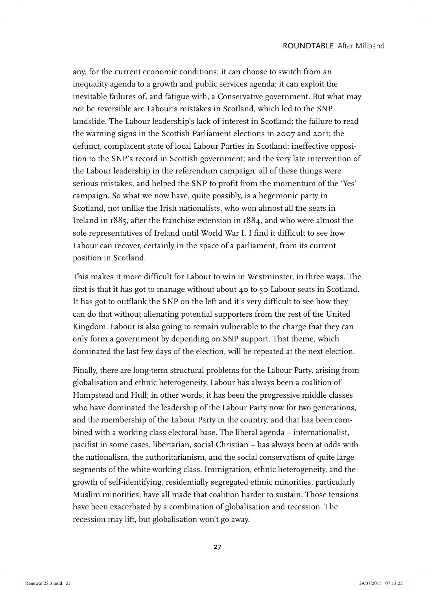any, for the current economic conditions; it can choose to switch from an inequality agenda to a growth and public services agenda; it can exploit the inevitable failures of, and fatigue with, a Conservative government. But what may not be reversible are Labour's mistakes in Scotland, which led to the SNP landslide. The Labour leadership's lack of interest in Scotland; the failure to read the warning signs in the Scottish Parliament elections in 2007 and 2011; the defunct, complacent state of local Labour Parties in Scotland; ineffective opposition to the SNP's record in Scottish government; and the very late intervention of the Labour leadership in the referendum campaign: all of these things were serious mistakes, and helped the SNP to profit from the momentum of the 'Yes' campaign. So what we now have, quite possibly, is a hegemonic party in Scotland, not unlike the Irish nationalists, who won almost all the seats in Ireland in 1885, after the franchise extension in 1884, and who were almost the sole representatives of Ireland until World War I. I find it difficult to see how Labour can recover, certainly in the space of a parliament, from its current position in Scotland.

This makes it more difficult for Labour to win in Westminster, in three ways. The first is that it has got to manage without about 40 to 50 Labour seats in Scotland. It has got to outflank the SNP on the left and it's very difficult to see how they can do that without alienating potential supporters from the rest of the United Kingdom. Labour is also going to remain vulnerable to the charge that they can only form a government by depending on SNP support. That theme, which dominated the last few days of the election, will be repeated at the next election.

Finally, there are long-term structural problems for the Labour Party, arising from globalisation and ethnic heterogeneity. Labour has always been a coalition of Hampstead and Hull; in other words, it has been the progressive middle classes who have dominated the leadership of the Labour Party now for two generations, and the membership of the Labour Party in the country, and that has been combined with a working class electoral base. The liberal agenda – internationalist, pacifist in some cases, libertarian, social Christian – has always been at odds with the nationalism, the authoritarianism, and the social conservatism of quite large segments of the white working class. Immigration, ethnic heterogeneity, and the growth of self-identifying, residentially segregated ethnic minorities, particularly Muslim minorities, have all made that coalition harder to sustain. Those tensions have been exacerbated by a combination of globalisation and recession. The recession may lift, but globalisation won't go away.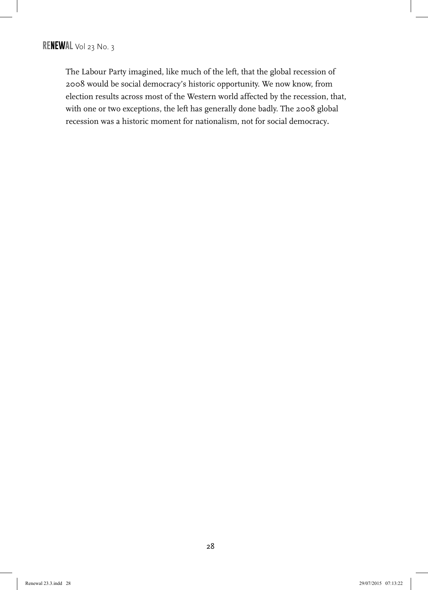The Labour Party imagined, like much of the left, that the global recession of 2008 would be social democracy's historic opportunity. We now know, from election results across most of the Western world affected by the recession, that, with one or two exceptions, the left has generally done badly. The 2008 global recession was a historic moment for nationalism, not for social democracy**.**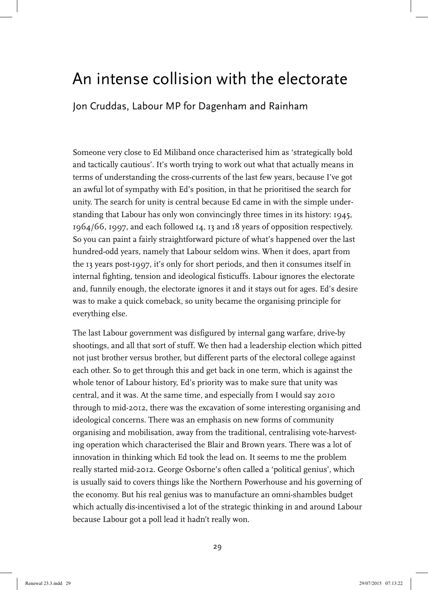### An intense collision with the electorate

Jon Cruddas, Labour MP for Dagenham and Rainham

Someone very close to Ed Miliband once characterised him as 'strategically bold and tactically cautious'. It's worth trying to work out what that actually means in terms of understanding the cross-currents of the last few years, because I've got an awful lot of sympathy with Ed's position, in that he prioritised the search for unity. The search for unity is central because Ed came in with the simple understanding that Labour has only won convincingly three times in its history: 1945, 1964/66, 1997, and each followed 14, 13 and 18 years of opposition respectively. So you can paint a fairly straightforward picture of what's happened over the last hundred-odd years, namely that Labour seldom wins. When it does, apart from the 13 years post-1997, it's only for short periods, and then it consumes itself in internal fighting, tension and ideological fisticuffs. Labour ignores the electorate and, funnily enough, the electorate ignores it and it stays out for ages. Ed's desire was to make a quick comeback, so unity became the organising principle for everything else.

The last Labour government was disfigured by internal gang warfare, drive-by shootings, and all that sort of stuff. We then had a leadership election which pitted not just brother versus brother, but different parts of the electoral college against each other. So to get through this and get back in one term, which is against the whole tenor of Labour history, Ed's priority was to make sure that unity was central, and it was. At the same time, and especially from I would say 2010 through to mid-2012, there was the excavation of some interesting organising and ideological concerns. There was an emphasis on new forms of community organising and mobilisation, away from the traditional, centralising vote-harvesting operation which characterised the Blair and Brown years. There was a lot of innovation in thinking which Ed took the lead on. It seems to me the problem really started mid-2012. George Osborne's often called a 'political genius', which is usually said to covers things like the Northern Powerhouse and his governing of the economy. But his real genius was to manufacture an omni-shambles budget which actually dis-incentivised a lot of the strategic thinking in and around Labour because Labour got a poll lead it hadn't really won.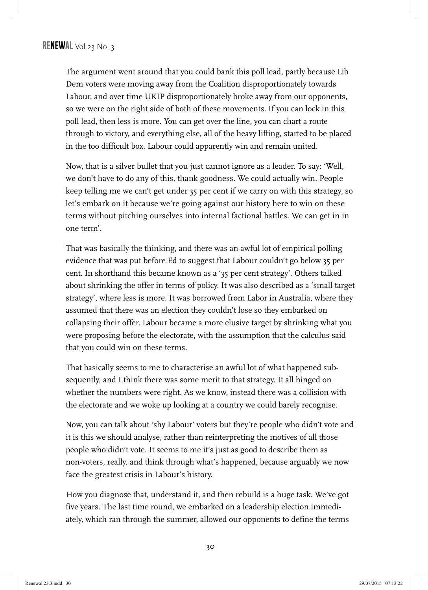The argument went around that you could bank this poll lead, partly because Lib Dem voters were moving away from the Coalition disproportionately towards Labour, and over time UKIP disproportionately broke away from our opponents, so we were on the right side of both of these movements. If you can lock in this poll lead, then less is more. You can get over the line, you can chart a route through to victory, and everything else, all of the heavy lifting, started to be placed in the too difficult box. Labour could apparently win and remain united.

Now, that is a silver bullet that you just cannot ignore as a leader. To say: 'Well, we don't have to do any of this, thank goodness. We could actually win. People keep telling me we can't get under 35 per cent if we carry on with this strategy, so let's embark on it because we're going against our history here to win on these terms without pitching ourselves into internal factional battles. We can get in in one term'.

That was basically the thinking, and there was an awful lot of empirical polling evidence that was put before Ed to suggest that Labour couldn't go below 35 per cent. In shorthand this became known as a '35 per cent strategy'. Others talked about shrinking the offer in terms of policy. It was also described as a 'small target strategy', where less is more. It was borrowed from Labor in Australia, where they assumed that there was an election they couldn't lose so they embarked on collapsing their offer. Labour became a more elusive target by shrinking what you were proposing before the electorate, with the assumption that the calculus said that you could win on these terms.

That basically seems to me to characterise an awful lot of what happened subsequently, and I think there was some merit to that strategy. It all hinged on whether the numbers were right. As we know, instead there was a collision with the electorate and we woke up looking at a country we could barely recognise.

Now, you can talk about 'shy Labour' voters but they're people who didn't vote and it is this we should analyse, rather than reinterpreting the motives of all those people who didn't vote. It seems to me it's just as good to describe them as non-voters, really, and think through what's happened, because arguably we now face the greatest crisis in Labour's history.

How you diagnose that, understand it, and then rebuild is a huge task. We've got five years. The last time round, we embarked on a leadership election immediately, which ran through the summer, allowed our opponents to define the terms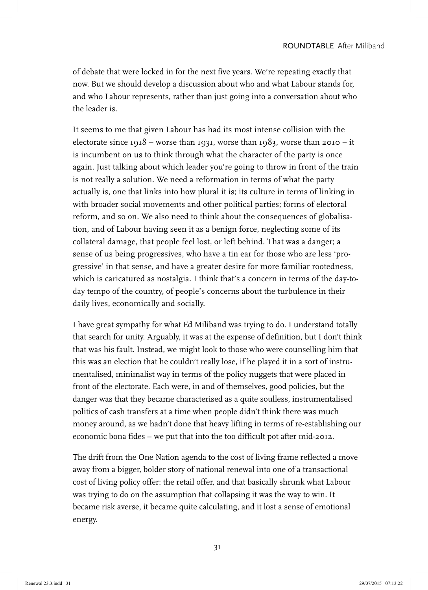of debate that were locked in for the next five years. We're repeating exactly that now. But we should develop a discussion about who and what Labour stands for, and who Labour represents, rather than just going into a conversation about who the leader is.

It seems to me that given Labour has had its most intense collision with the electorate since  $1918 -$  worse than  $1931$ , worse than  $1983$ , worse than  $2010 - it$ is incumbent on us to think through what the character of the party is once again. Just talking about which leader you're going to throw in front of the train is not really a solution. We need a reformation in terms of what the party actually is, one that links into how plural it is; its culture in terms of linking in with broader social movements and other political parties; forms of electoral reform, and so on. We also need to think about the consequences of globalisation, and of Labour having seen it as a benign force, neglecting some of its collateral damage, that people feel lost, or left behind. That was a danger; a sense of us being progressives, who have a tin ear for those who are less 'progressive' in that sense, and have a greater desire for more familiar rootedness, which is caricatured as nostalgia. I think that's a concern in terms of the day-today tempo of the country, of people's concerns about the turbulence in their daily lives, economically and socially.

I have great sympathy for what Ed Miliband was trying to do. I understand totally that search for unity. Arguably, it was at the expense of definition, but I don't think that was his fault. Instead, we might look to those who were counselling him that this was an election that he couldn't really lose, if he played it in a sort of instrumentalised, minimalist way in terms of the policy nuggets that were placed in front of the electorate. Each were, in and of themselves, good policies, but the danger was that they became characterised as a quite soulless, instrumentalised politics of cash transfers at a time when people didn't think there was much money around, as we hadn't done that heavy lifting in terms of re-establishing our economic bona fides – we put that into the too difficult pot after mid-2012.

The drift from the One Nation agenda to the cost of living frame reflected a move away from a bigger, bolder story of national renewal into one of a transactional cost of living policy offer: the retail offer, and that basically shrunk what Labour was trying to do on the assumption that collapsing it was the way to win. It became risk averse, it became quite calculating, and it lost a sense of emotional energy.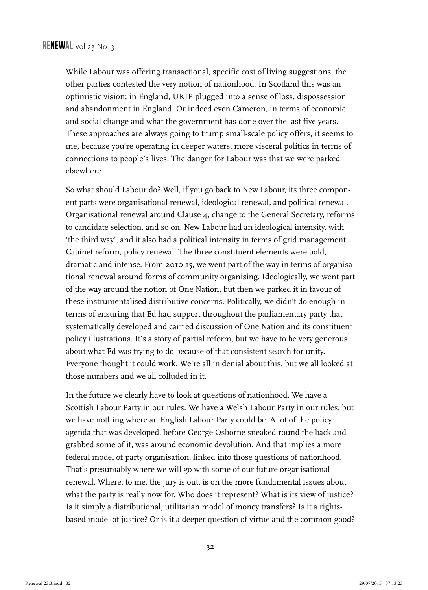While Labour was offering transactional, specific cost of living suggestions, the other parties contested the very notion of nationhood. In Scotland this was an optimistic vision; in England, UKIP plugged into a sense of loss, dispossession and abandonment in England. Or indeed even Cameron, in terms of economic and social change and what the government has done over the last five years. These approaches are always going to trump small-scale policy offers, it seems to me, because you're operating in deeper waters, more visceral politics in terms of connections to people's lives. The danger for Labour was that we were parked elsewhere.

So what should Labour do? Well, if you go back to New Labour, its three component parts were organisational renewal, ideological renewal, and political renewal. Organisational renewal around Clause 4, change to the General Secretary, reforms to candidate selection, and so on. New Labour had an ideological intensity, with 'the third way', and it also had a political intensity in terms of grid management, Cabinet reform, policy renewal. The three constituent elements were bold, dramatic and intense. From 2010-15, we went part of the way in terms of organisational renewal around forms of community organising. Ideologically, we went part of the way around the notion of One Nation, but then we parked it in favour of these instrumentalised distributive concerns. Politically, we didn't do enough in terms of ensuring that Ed had support throughout the parliamentary party that systematically developed and carried discussion of One Nation and its constituent policy illustrations. It's a story of partial reform, but we have to be very generous about what Ed was trying to do because of that consistent search for unity. Everyone thought it could work. We're all in denial about this, but we all looked at those numbers and we all colluded in it.

In the future we clearly have to look at questions of nationhood. We have a Scottish Labour Party in our rules. We have a Welsh Labour Party in our rules, but we have nothing where an English Labour Party could be. A lot of the policy agenda that was developed, before George Osborne sneaked round the back and grabbed some of it, was around economic devolution. And that implies a more federal model of party organisation, linked into those questions of nationhood. That's presumably where we will go with some of our future organisational renewal. Where, to me, the jury is out, is on the more fundamental issues about what the party is really now for. Who does it represent? What is its view of justice? Is it simply a distributional, utilitarian model of money transfers? Is it a rightsbased model of justice? Or is it a deeper question of virtue and the common good?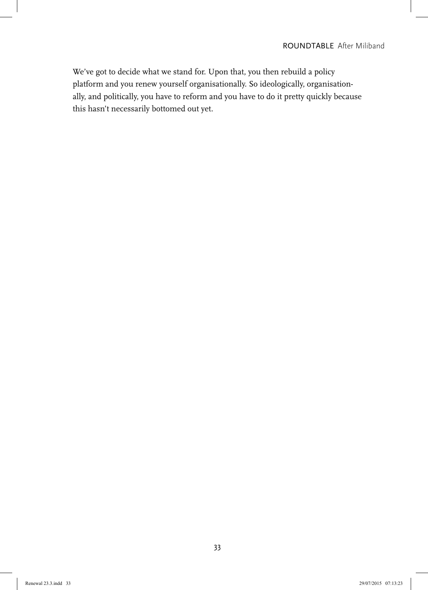We've got to decide what we stand for. Upon that, you then rebuild a policy platform and you renew yourself organisationally. So ideologically, organisationally, and politically, you have to reform and you have to do it pretty quickly because this hasn't necessarily bottomed out yet.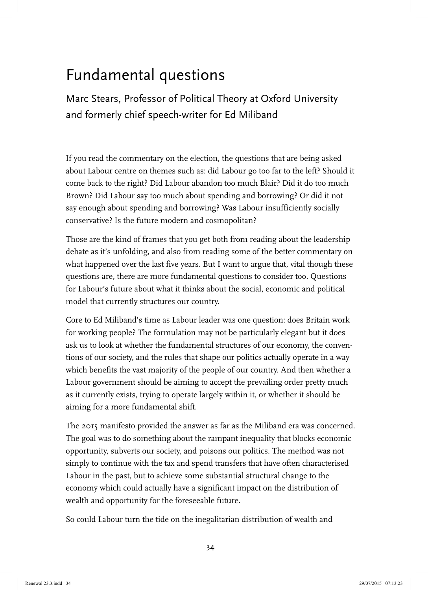# Fundamental questions

Marc Stears, Professor of Political Theory at Oxford University and formerly chief speech-writer for Ed Miliband

If you read the commentary on the election, the questions that are being asked about Labour centre on themes such as: did Labour go too far to the left? Should it come back to the right? Did Labour abandon too much Blair? Did it do too much Brown? Did Labour say too much about spending and borrowing? Or did it not say enough about spending and borrowing? Was Labour insufficiently socially conservative? Is the future modern and cosmopolitan?

Those are the kind of frames that you get both from reading about the leadership debate as it's unfolding, and also from reading some of the better commentary on what happened over the last five years. But I want to argue that, vital though these questions are, there are more fundamental questions to consider too. Questions for Labour's future about what it thinks about the social, economic and political model that currently structures our country.

Core to Ed Miliband's time as Labour leader was one question: does Britain work for working people? The formulation may not be particularly elegant but it does ask us to look at whether the fundamental structures of our economy, the conventions of our society, and the rules that shape our politics actually operate in a way which benefits the vast majority of the people of our country. And then whether a Labour government should be aiming to accept the prevailing order pretty much as it currently exists, trying to operate largely within it, or whether it should be aiming for a more fundamental shift.

The 2015 manifesto provided the answer as far as the Miliband era was concerned. The goal was to do something about the rampant inequality that blocks economic opportunity, subverts our society, and poisons our politics. The method was not simply to continue with the tax and spend transfers that have often characterised Labour in the past, but to achieve some substantial structural change to the economy which could actually have a significant impact on the distribution of wealth and opportunity for the foreseeable future.

So could Labour turn the tide on the inegalitarian distribution of wealth and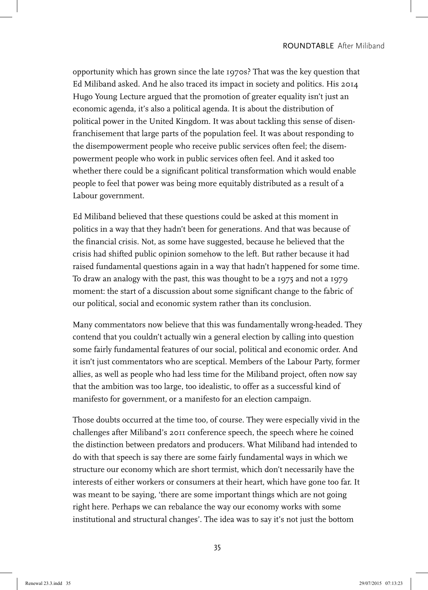opportunity which has grown since the late 1970s? That was the key question that Ed Miliband asked. And he also traced its impact in society and politics. His 2014 Hugo Young Lecture argued that the promotion of greater equality isn't just an economic agenda, it's also a political agenda. It is about the distribution of political power in the United Kingdom. It was about tackling this sense of disenfranchisement that large parts of the population feel. It was about responding to the disempowerment people who receive public services often feel; the disempowerment people who work in public services often feel. And it asked too whether there could be a significant political transformation which would enable people to feel that power was being more equitably distributed as a result of a Labour government.

Ed Miliband believed that these questions could be asked at this moment in politics in a way that they hadn't been for generations. And that was because of the financial crisis. Not, as some have suggested, because he believed that the crisis had shifted public opinion somehow to the left. But rather because it had raised fundamental questions again in a way that hadn't happened for some time. To draw an analogy with the past, this was thought to be a 1975 and not a 1979 moment: the start of a discussion about some significant change to the fabric of our political, social and economic system rather than its conclusion.

Many commentators now believe that this was fundamentally wrong-headed. They contend that you couldn't actually win a general election by calling into question some fairly fundamental features of our social, political and economic order. And it isn't just commentators who are sceptical. Members of the Labour Party, former allies, as well as people who had less time for the Miliband project, often now say that the ambition was too large, too idealistic, to offer as a successful kind of manifesto for government, or a manifesto for an election campaign.

Those doubts occurred at the time too, of course. They were especially vivid in the challenges after Miliband's 2011 conference speech, the speech where he coined the distinction between predators and producers. What Miliband had intended to do with that speech is say there are some fairly fundamental ways in which we structure our economy which are short termist, which don't necessarily have the interests of either workers or consumers at their heart, which have gone too far. It was meant to be saying, 'there are some important things which are not going right here. Perhaps we can rebalance the way our economy works with some institutional and structural changes'. The idea was to say it's not just the bottom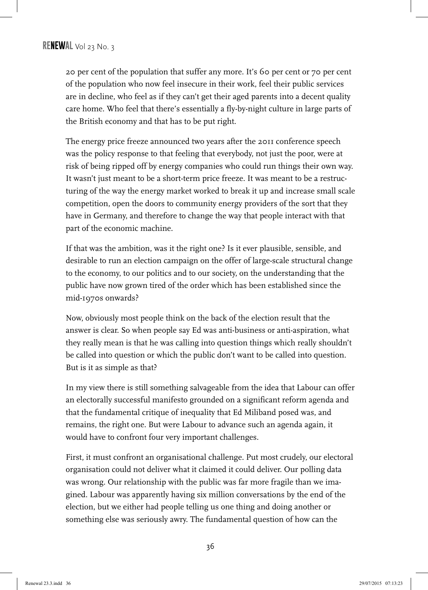20 per cent of the population that suffer any more. It's 60 per cent or 70 per cent of the population who now feel insecure in their work, feel their public services are in decline, who feel as if they can't get their aged parents into a decent quality care home. Who feel that there's essentially a fly-by-night culture in large parts of the British economy and that has to be put right.

The energy price freeze announced two years after the 2011 conference speech was the policy response to that feeling that everybody, not just the poor, were at risk of being ripped off by energy companies who could run things their own way. It wasn't just meant to be a short-term price freeze. It was meant to be a restructuring of the way the energy market worked to break it up and increase small scale competition, open the doors to community energy providers of the sort that they have in Germany, and therefore to change the way that people interact with that part of the economic machine.

If that was the ambition, was it the right one? Is it ever plausible, sensible, and desirable to run an election campaign on the offer of large-scale structural change to the economy, to our politics and to our society, on the understanding that the public have now grown tired of the order which has been established since the mid-1970s onwards?

Now, obviously most people think on the back of the election result that the answer is clear. So when people say Ed was anti-business or anti-aspiration, what they really mean is that he was calling into question things which really shouldn't be called into question or which the public don't want to be called into question. But is it as simple as that?

In my view there is still something salvageable from the idea that Labour can offer an electorally successful manifesto grounded on a significant reform agenda and that the fundamental critique of inequality that Ed Miliband posed was, and remains, the right one. But were Labour to advance such an agenda again, it would have to confront four very important challenges.

First, it must confront an organisational challenge. Put most crudely, our electoral organisation could not deliver what it claimed it could deliver. Our polling data was wrong. Our relationship with the public was far more fragile than we imagined. Labour was apparently having six million conversations by the end of the election, but we either had people telling us one thing and doing another or something else was seriously awry. The fundamental question of how can the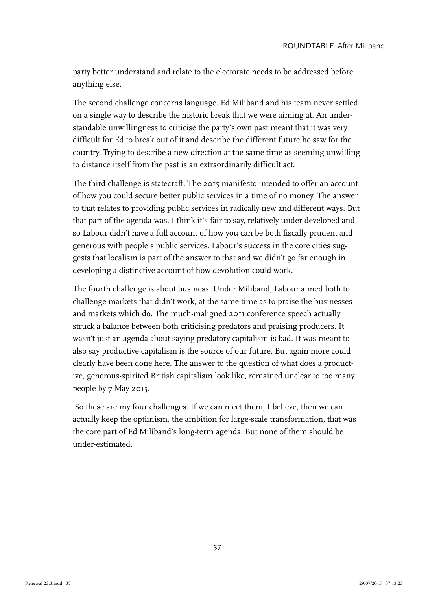party better understand and relate to the electorate needs to be addressed before anything else.

The second challenge concerns language. Ed Miliband and his team never settled on a single way to describe the historic break that we were aiming at. An understandable unwillingness to criticise the party's own past meant that it was very difficult for Ed to break out of it and describe the different future he saw for the country. Trying to describe a new direction at the same time as seeming unwilling to distance itself from the past is an extraordinarily difficult act.

The third challenge is statecraft. The 2015 manifesto intended to offer an account of how you could secure better public services in a time of no money. The answer to that relates to providing public services in radically new and different ways. But that part of the agenda was, I think it's fair to say, relatively under-developed and so Labour didn't have a full account of how you can be both fiscally prudent and generous with people's public services. Labour's success in the core cities suggests that localism is part of the answer to that and we didn't go far enough in developing a distinctive account of how devolution could work.

The fourth challenge is about business. Under Miliband, Labour aimed both to challenge markets that didn't work, at the same time as to praise the businesses and markets which do. The much-maligned 2011 conference speech actually struck a balance between both criticising predators and praising producers. It wasn't just an agenda about saying predatory capitalism is bad. It was meant to also say productive capitalism is the source of our future. But again more could clearly have been done here. The answer to the question of what does a productive, generous-spirited British capitalism look like, remained unclear to too many people by 7 May 2015.

 So these are my four challenges. If we can meet them, I believe, then we can actually keep the optimism, the ambition for large-scale transformation, that was the core part of Ed Miliband's long-term agenda. But none of them should be under-estimated.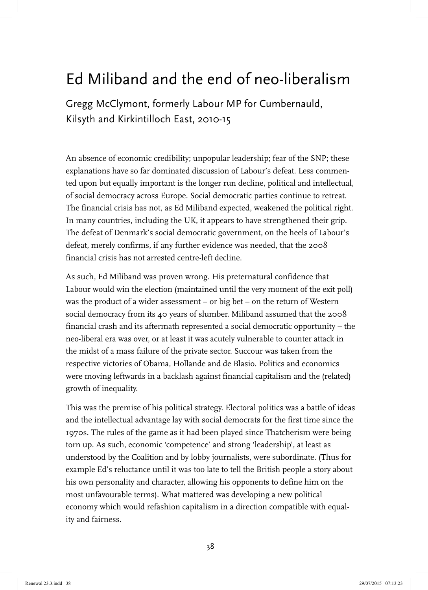## Ed Miliband and the end of neo-liberalism

Gregg McClymont, formerly Labour MP for Cumbernauld, Kilsyth and Kirkintilloch East, 2010-15

An absence of economic credibility; unpopular leadership; fear of the SNP; these explanations have so far dominated discussion of Labour's defeat. Less commented upon but equally important is the longer run decline, political and intellectual, of social democracy across Europe. Social democratic parties continue to retreat. The financial crisis has not, as Ed Miliband expected, weakened the political right. In many countries, including the UK, it appears to have strengthened their grip. The defeat of Denmark's social democratic government, on the heels of Labour's defeat, merely confirms, if any further evidence was needed, that the 2008 financial crisis has not arrested centre-left decline.

As such, Ed Miliband was proven wrong. His preternatural confidence that Labour would win the election (maintained until the very moment of the exit poll) was the product of a wider assessment – or big bet – on the return of Western social democracy from its 40 years of slumber. Miliband assumed that the 2008 financial crash and its aftermath represented a social democratic opportunity – the neo-liberal era was over, or at least it was acutely vulnerable to counter attack in the midst of a mass failure of the private sector. Succour was taken from the respective victories of Obama, Hollande and de Blasio. Politics and economics were moving leftwards in a backlash against financial capitalism and the (related) growth of inequality.

This was the premise of his political strategy. Electoral politics was a battle of ideas and the intellectual advantage lay with social democrats for the first time since the 1970s. The rules of the game as it had been played since Thatcherism were being torn up. As such, economic 'competence' and strong 'leadership', at least as understood by the Coalition and by lobby journalists, were subordinate. (Thus for example Ed's reluctance until it was too late to tell the British people a story about his own personality and character, allowing his opponents to define him on the most unfavourable terms). What mattered was developing a new political economy which would refashion capitalism in a direction compatible with equality and fairness.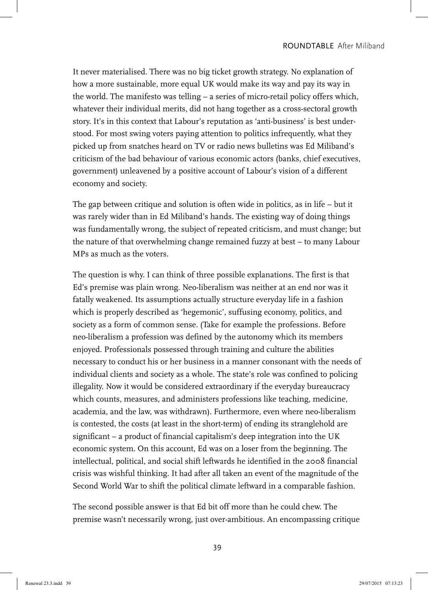It never materialised. There was no big ticket growth strategy. No explanation of how a more sustainable, more equal UK would make its way and pay its way in the world. The manifesto was telling – a series of micro-retail policy offers which, whatever their individual merits, did not hang together as a cross-sectoral growth story. It's in this context that Labour's reputation as 'anti-business' is best understood. For most swing voters paying attention to politics infrequently, what they picked up from snatches heard on TV or radio news bulletins was Ed Miliband's criticism of the bad behaviour of various economic actors (banks, chief executives, government) unleavened by a positive account of Labour's vision of a different economy and society.

The gap between critique and solution is often wide in politics, as in life – but it was rarely wider than in Ed Miliband's hands. The existing way of doing things was fundamentally wrong, the subject of repeated criticism, and must change; but the nature of that overwhelming change remained fuzzy at best – to many Labour MPs as much as the voters.

The question is why. I can think of three possible explanations. The first is that Ed's premise was plain wrong. Neo-liberalism was neither at an end nor was it fatally weakened. Its assumptions actually structure everyday life in a fashion which is properly described as 'hegemonic', suffusing economy, politics, and society as a form of common sense. (Take for example the professions. Before neo-liberalism a profession was defined by the autonomy which its members enjoyed. Professionals possessed through training and culture the abilities necessary to conduct his or her business in a manner consonant with the needs of individual clients and society as a whole. The state's role was confined to policing illegality. Now it would be considered extraordinary if the everyday bureaucracy which counts, measures, and administers professions like teaching, medicine, academia, and the law, was withdrawn). Furthermore, even where neo-liberalism is contested, the costs (at least in the short-term) of ending its stranglehold are significant – a product of financial capitalism's deep integration into the UK economic system. On this account, Ed was on a loser from the beginning. The intellectual, political, and social shift leftwards he identified in the 2008 financial crisis was wishful thinking. It had after all taken an event of the magnitude of the Second World War to shift the political climate leftward in a comparable fashion.

The second possible answer is that Ed bit off more than he could chew. The premise wasn't necessarily wrong, just over-ambitious. An encompassing critique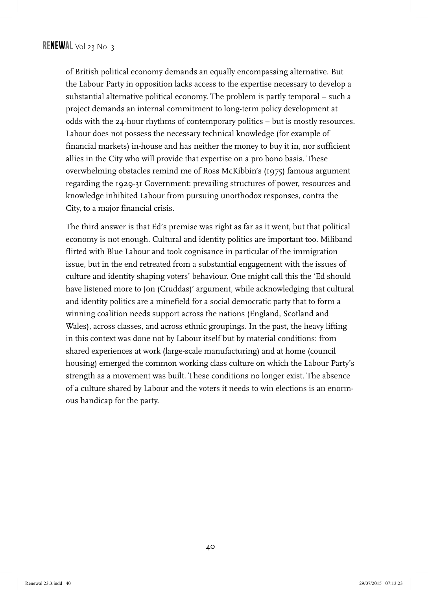of British political economy demands an equally encompassing alternative. But the Labour Party in opposition lacks access to the expertise necessary to develop a substantial alternative political economy. The problem is partly temporal – such a project demands an internal commitment to long-term policy development at odds with the 24-hour rhythms of contemporary politics – but is mostly resources. Labour does not possess the necessary technical knowledge (for example of financial markets) in-house and has neither the money to buy it in, nor sufficient allies in the City who will provide that expertise on a pro bono basis. These overwhelming obstacles remind me of Ross McKibbin's (1975) famous argument regarding the 1929-31 Government: prevailing structures of power, resources and knowledge inhibited Labour from pursuing unorthodox responses, contra the City, to a major financial crisis.

The third answer is that Ed's premise was right as far as it went, but that political economy is not enough. Cultural and identity politics are important too. Miliband flirted with Blue Labour and took cognisance in particular of the immigration issue, but in the end retreated from a substantial engagement with the issues of culture and identity shaping voters' behaviour. One might call this the 'Ed should have listened more to Jon (Cruddas)' argument, while acknowledging that cultural and identity politics are a minefield for a social democratic party that to form a winning coalition needs support across the nations (England, Scotland and Wales), across classes, and across ethnic groupings. In the past, the heavy lifting in this context was done not by Labour itself but by material conditions: from shared experiences at work (large-scale manufacturing) and at home (council housing) emerged the common working class culture on which the Labour Party's strength as a movement was built. These conditions no longer exist. The absence of a culture shared by Labour and the voters it needs to win elections is an enormous handicap for the party.

40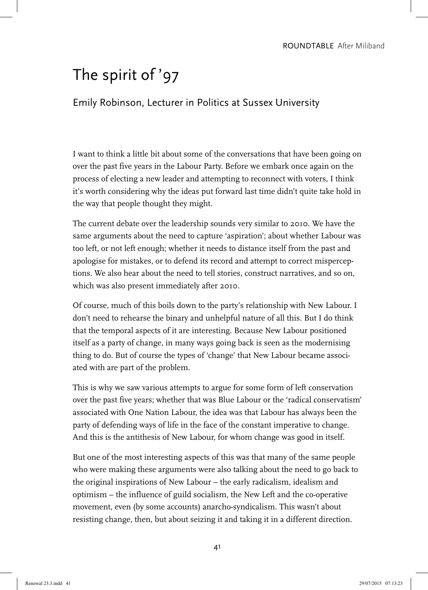# The spirit of '97

Emily Robinson, Lecturer in Politics at Sussex University

I want to think a little bit about some of the conversations that have been going on over the past five years in the Labour Party. Before we embark once again on the process of electing a new leader and attempting to reconnect with voters, I think it's worth considering why the ideas put forward last time didn't quite take hold in the way that people thought they might.

The current debate over the leadership sounds very similar to 2010. We have the same arguments about the need to capture 'aspiration'; about whether Labour was too left, or not left enough; whether it needs to distance itself from the past and apologise for mistakes, or to defend its record and attempt to correct misperceptions. We also hear about the need to tell stories, construct narratives, and so on, which was also present immediately after 2010.

Of course, much of this boils down to the party's relationship with New Labour. I don't need to rehearse the binary and unhelpful nature of all this. But I do think that the temporal aspects of it are interesting. Because New Labour positioned itself as a party of change, in many ways going back is seen as the modernising thing to do. But of course the types of 'change' that New Labour became associated with are part of the problem.

This is why we saw various attempts to argue for some form of left conservation over the past five years; whether that was Blue Labour or the 'radical conservatism' associated with One Nation Labour, the idea was that Labour has always been the party of defending ways of life in the face of the constant imperative to change. And this is the antithesis of New Labour, for whom change was good in itself.

But one of the most interesting aspects of this was that many of the same people who were making these arguments were also talking about the need to go back to the original inspirations of New Labour – the early radicalism, idealism and optimism – the influence of guild socialism, the New Left and the co-operative movement, even (by some accounts) anarcho-syndicalism. This wasn't about resisting change, then, but about seizing it and taking it in a different direction.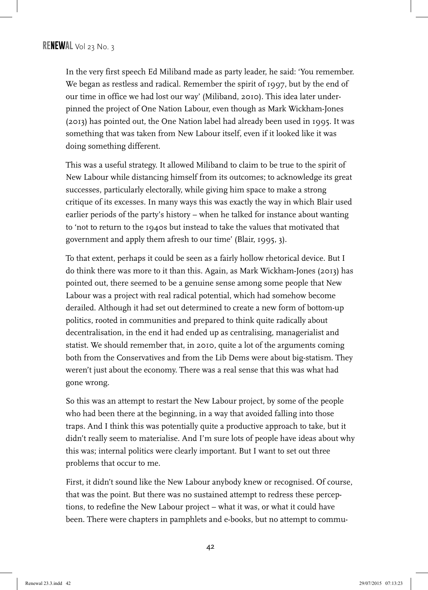In the very first speech Ed Miliband made as party leader, he said: 'You remember. We began as restless and radical. Remember the spirit of 1997, but by the end of our time in office we had lost our way' (Miliband, 2010). This idea later underpinned the project of One Nation Labour, even though as Mark Wickham-Jones (2013) has pointed out, the One Nation label had already been used in 1995. It was something that was taken from New Labour itself, even if it looked like it was doing something different.

This was a useful strategy. It allowed Miliband to claim to be true to the spirit of New Labour while distancing himself from its outcomes; to acknowledge its great successes, particularly electorally, while giving him space to make a strong critique of its excesses. In many ways this was exactly the way in which Blair used earlier periods of the party's history – when he talked for instance about wanting to 'not to return to the 1940s but instead to take the values that motivated that government and apply them afresh to our time' (Blair, 1995, 3).

To that extent, perhaps it could be seen as a fairly hollow rhetorical device. But I do think there was more to it than this. Again, as Mark Wickham-Jones (2013) has pointed out, there seemed to be a genuine sense among some people that New Labour was a project with real radical potential, which had somehow become derailed. Although it had set out determined to create a new form of bottom-up politics, rooted in communities and prepared to think quite radically about decentralisation, in the end it had ended up as centralising, managerialist and statist. We should remember that, in 2010, quite a lot of the arguments coming both from the Conservatives and from the Lib Dems were about big-statism. They weren't just about the economy. There was a real sense that this was what had gone wrong.

So this was an attempt to restart the New Labour project, by some of the people who had been there at the beginning, in a way that avoided falling into those traps. And I think this was potentially quite a productive approach to take, but it didn't really seem to materialise. And I'm sure lots of people have ideas about why this was; internal politics were clearly important. But I want to set out three problems that occur to me.

First, it didn't sound like the New Labour anybody knew or recognised. Of course, that was the point. But there was no sustained attempt to redress these perceptions, to redefine the New Labour project – what it was, or what it could have been. There were chapters in pamphlets and e-books, but no attempt to commu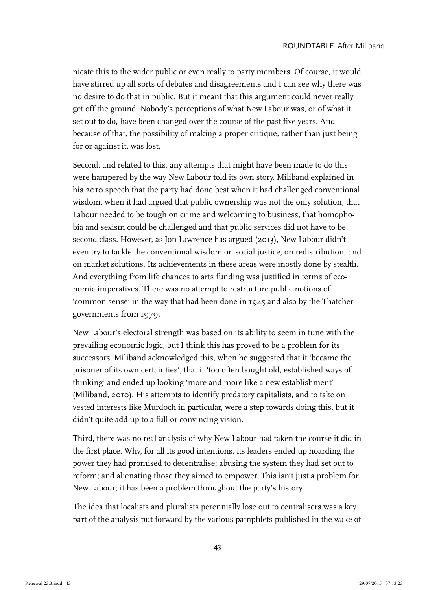nicate this to the wider public or even really to party members. Of course, it would have stirred up all sorts of debates and disagreements and I can see why there was no desire to do that in public. But it meant that this argument could never really get off the ground. Nobody's perceptions of what New Labour was, or of what it set out to do, have been changed over the course of the past five years. And because of that, the possibility of making a proper critique, rather than just being for or against it, was lost.

Second, and related to this, any attempts that might have been made to do this were hampered by the way New Labour told its own story. Miliband explained in his 2010 speech that the party had done best when it had challenged conventional wisdom, when it had argued that public ownership was not the only solution, that Labour needed to be tough on crime and welcoming to business, that homophobia and sexism could be challenged and that public services did not have to be second class. However, as Jon Lawrence has argued (2013), New Labour didn't even try to tackle the conventional wisdom on social justice, on redistribution, and on market solutions. Its achievements in these areas were mostly done by stealth. And everything from life chances to arts funding was justified in terms of economic imperatives. There was no attempt to restructure public notions of 'common sense' in the way that had been done in 1945 and also by the Thatcher governments from 1979.

New Labour's electoral strength was based on its ability to seem in tune with the prevailing economic logic, but I think this has proved to be a problem for its successors. Miliband acknowledged this, when he suggested that it 'became the prisoner of its own certainties', that it 'too often bought old, established ways of thinking' and ended up looking 'more and more like a new establishment' (Miliband, 2010). His attempts to identify predatory capitalists, and to take on vested interests like Murdoch in particular, were a step towards doing this, but it didn't quite add up to a full or convincing vision.

Third, there was no real analysis of why New Labour had taken the course it did in the first place. Why, for all its good intentions, its leaders ended up hoarding the power they had promised to decentralise; abusing the system they had set out to reform; and alienating those they aimed to empower. This isn't just a problem for New Labour; it has been a problem throughout the party's history.

The idea that localists and pluralists perennially lose out to centralisers was a key part of the analysis put forward by the various pamphlets published in the wake of

43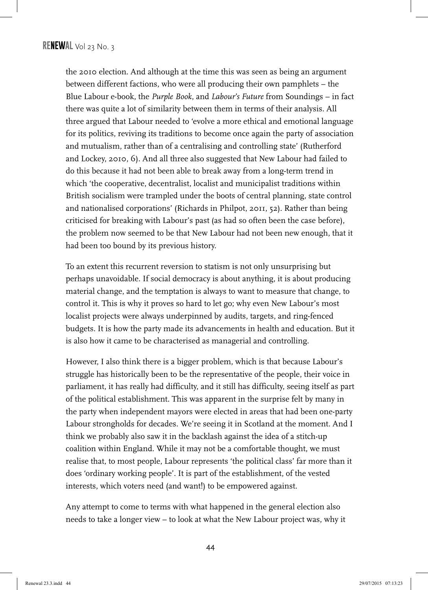the 2010 election. And although at the time this was seen as being an argument between different factions, who were all producing their own pamphlets – the Blue Labour e-book, the *Purple Book*, and *Labour's Future* from Soundings – in fact there was quite a lot of similarity between them in terms of their analysis. All three argued that Labour needed to 'evolve a more ethical and emotional language for its politics, reviving its traditions to become once again the party of association and mutualism, rather than of a centralising and controlling state' (Rutherford and Lockey, 2010, 6). And all three also suggested that New Labour had failed to do this because it had not been able to break away from a long-term trend in which 'the cooperative, decentralist, localist and municipalist traditions within British socialism were trampled under the boots of central planning, state control and nationalised corporations' (Richards in Philpot, 2011, 52). Rather than being criticised for breaking with Labour's past (as had so often been the case before), the problem now seemed to be that New Labour had not been new enough, that it had been too bound by its previous history.

To an extent this recurrent reversion to statism is not only unsurprising but perhaps unavoidable. If social democracy is about anything, it is about producing material change, and the temptation is always to want to measure that change, to control it. This is why it proves so hard to let go; why even New Labour's most localist projects were always underpinned by audits, targets, and ring-fenced budgets. It is how the party made its advancements in health and education. But it is also how it came to be characterised as managerial and controlling.

However, I also think there is a bigger problem, which is that because Labour's struggle has historically been to be the representative of the people, their voice in parliament, it has really had difficulty, and it still has difficulty, seeing itself as part of the political establishment. This was apparent in the surprise felt by many in the party when independent mayors were elected in areas that had been one-party Labour strongholds for decades. We're seeing it in Scotland at the moment. And I think we probably also saw it in the backlash against the idea of a stitch-up coalition within England. While it may not be a comfortable thought, we must realise that, to most people, Labour represents 'the political class' far more than it does 'ordinary working people'. It is part of the establishment, of the vested interests, which voters need (and want!) to be empowered against.

Any attempt to come to terms with what happened in the general election also needs to take a longer view – to look at what the New Labour project was, why it